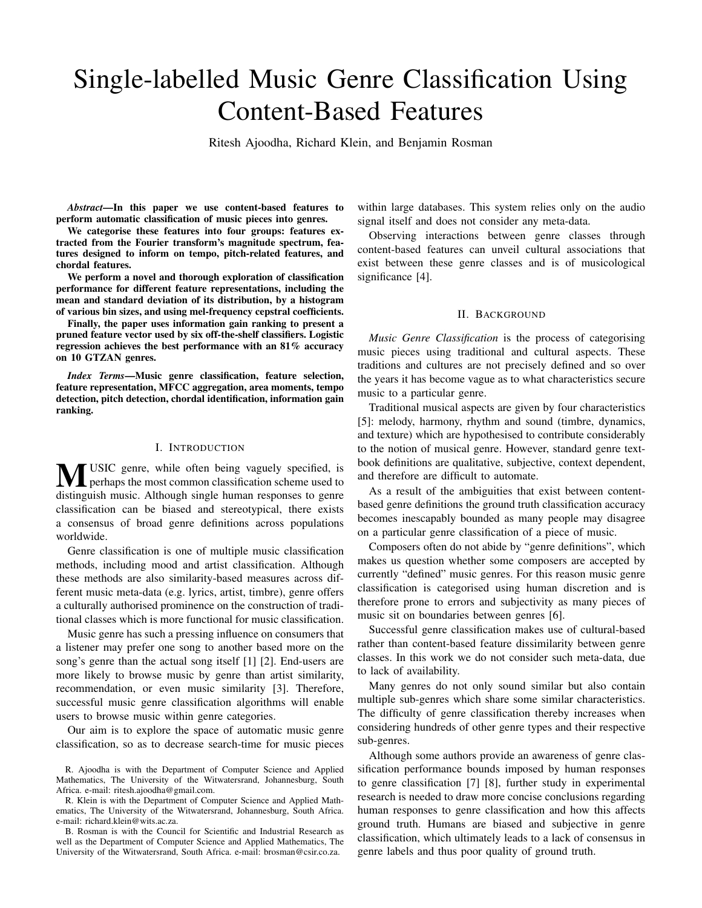# Single-labelled Music Genre Classification Using Content-Based Features

Ritesh Ajoodha, Richard Klein, and Benjamin Rosman

*Abstract*—In this paper we use content-based features to perform automatic classification of music pieces into genres.

We categorise these features into four groups: features extracted from the Fourier transform's magnitude spectrum, features designed to inform on tempo, pitch-related features, and chordal features.

We perform a novel and thorough exploration of classification performance for different feature representations, including the mean and standard deviation of its distribution, by a histogram of various bin sizes, and using mel-frequency cepstral coefficients.

Finally, the paper uses information gain ranking to present a pruned feature vector used by six off-the-shelf classifiers. Logistic regression achieves the best performance with an 81% accuracy on 10 GTZAN genres.

*Index Terms*—Music genre classification, feature selection, feature representation, MFCC aggregation, area moments, tempo detection, pitch detection, chordal identification, information gain ranking.

# I. INTRODUCTION

**MUSIC** genre, while often being vaguely specified, is<br>perhaps the most common classification scheme used to distinguish music. Although single human responses to genre classification can be biased and stereotypical, there exists a consensus of broad genre definitions across populations worldwide.

Genre classification is one of multiple music classification methods, including mood and artist classification. Although these methods are also similarity-based measures across different music meta-data (e.g. lyrics, artist, timbre), genre offers a culturally authorised prominence on the construction of traditional classes which is more functional for music classification.

Music genre has such a pressing influence on consumers that a listener may prefer one song to another based more on the song's genre than the actual song itself [1] [2]. End-users are more likely to browse music by genre than artist similarity, recommendation, or even music similarity [3]. Therefore, successful music genre classification algorithms will enable users to browse music within genre categories.

Our aim is to explore the space of automatic music genre classification, so as to decrease search-time for music pieces within large databases. This system relies only on the audio signal itself and does not consider any meta-data.

Observing interactions between genre classes through content-based features can unveil cultural associations that exist between these genre classes and is of musicological significance [4].

## II. BACKGROUND

*Music Genre Classification* is the process of categorising music pieces using traditional and cultural aspects. These traditions and cultures are not precisely defined and so over the years it has become vague as to what characteristics secure music to a particular genre.

Traditional musical aspects are given by four characteristics [5]: melody, harmony, rhythm and sound (timbre, dynamics, and texture) which are hypothesised to contribute considerably to the notion of musical genre. However, standard genre textbook definitions are qualitative, subjective, context dependent, and therefore are difficult to automate.

As a result of the ambiguities that exist between contentbased genre definitions the ground truth classification accuracy becomes inescapably bounded as many people may disagree on a particular genre classification of a piece of music.

Composers often do not abide by "genre definitions", which makes us question whether some composers are accepted by currently "defined" music genres. For this reason music genre classification is categorised using human discretion and is therefore prone to errors and subjectivity as many pieces of music sit on boundaries between genres [6].

Successful genre classification makes use of cultural-based rather than content-based feature dissimilarity between genre classes. In this work we do not consider such meta-data, due to lack of availability.

Many genres do not only sound similar but also contain multiple sub-genres which share some similar characteristics. The difficulty of genre classification thereby increases when considering hundreds of other genre types and their respective sub-genres.

Although some authors provide an awareness of genre classification performance bounds imposed by human responses to genre classification [7] [8], further study in experimental research is needed to draw more concise conclusions regarding human responses to genre classification and how this affects ground truth. Humans are biased and subjective in genre classification, which ultimately leads to a lack of consensus in genre labels and thus poor quality of ground truth.

R. Ajoodha is with the Department of Computer Science and Applied Mathematics, The University of the Witwatersrand, Johannesburg, South Africa. e-mail: ritesh.ajoodha@gmail.com.

R. Klein is with the Department of Computer Science and Applied Mathematics, The University of the Witwatersrand, Johannesburg, South Africa. e-mail: richard.klein@wits.ac.za.

B. Rosman is with the Council for Scientific and Industrial Research as well as the Department of Computer Science and Applied Mathematics, The University of the Witwatersrand, South Africa. e-mail: brosman@csir.co.za.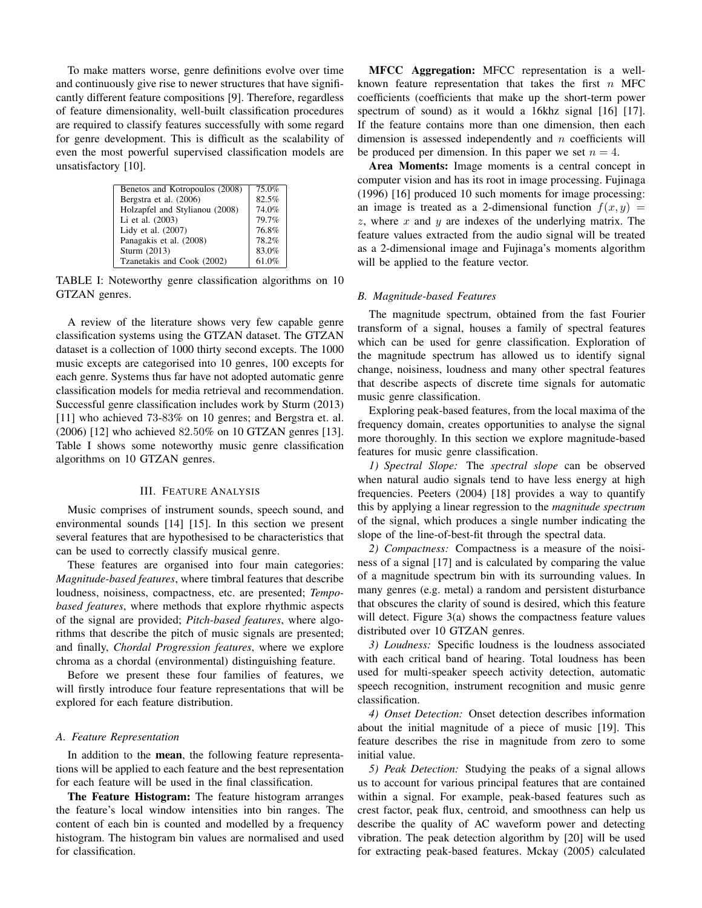To make matters worse, genre definitions evolve over time and continuously give rise to newer structures that have significantly different feature compositions [9]. Therefore, regardless of feature dimensionality, well-built classification procedures are required to classify features successfully with some regard for genre development. This is difficult as the scalability of even the most powerful supervised classification models are unsatisfactory [10].

| Benetos and Kotropoulos (2008) | 75.0% |
|--------------------------------|-------|
| Bergstra et al. (2006)         | 82.5% |
| Holzapfel and Stylianou (2008) | 74.0% |
| Li et al. (2003)               | 79.7% |
| Lidy et al. (2007)             | 76.8% |
| Panagakis et al. (2008)        | 78.2% |
| Sturm (2013)                   | 83.0% |
| Tzanetakis and Cook (2002)     | 61.0% |
|                                |       |

TABLE I: Noteworthy genre classification algorithms on 10 GTZAN genres.

A review of the literature shows very few capable genre classification systems using the GTZAN dataset. The GTZAN dataset is a collection of 1000 thirty second excepts. The 1000 music excepts are categorised into 10 genres, 100 excepts for each genre. Systems thus far have not adopted automatic genre classification models for media retrieval and recommendation. Successful genre classification includes work by Sturm (2013) [11] who achieved 73-83% on 10 genres; and Bergstra et. al. (2006) [12] who achieved 82*.*50% on 10 GTZAN genres [13]. Table I shows some noteworthy music genre classification algorithms on 10 GTZAN genres.

## III. FEATURE ANALYSIS

Music comprises of instrument sounds, speech sound, and environmental sounds [14] [15]. In this section we present several features that are hypothesised to be characteristics that can be used to correctly classify musical genre.

These features are organised into four main categories: *Magnitude-based features*, where timbral features that describe loudness, noisiness, compactness, etc. are presented; *Tempobased features*, where methods that explore rhythmic aspects of the signal are provided; *Pitch-based features*, where algorithms that describe the pitch of music signals are presented; and finally, *Chordal Progression features*, where we explore chroma as a chordal (environmental) distinguishing feature.

Before we present these four families of features, we will firstly introduce four feature representations that will be explored for each feature distribution.

#### *A. Feature Representation*

In addition to the mean, the following feature representations will be applied to each feature and the best representation for each feature will be used in the final classification.

The Feature Histogram: The feature histogram arranges the feature's local window intensities into bin ranges. The content of each bin is counted and modelled by a frequency histogram. The histogram bin values are normalised and used for classification.

MFCC Aggregation: MFCC representation is a wellknown feature representation that takes the first *n* MFC coefficients (coefficients that make up the short-term power spectrum of sound) as it would a 16khz signal [16] [17]. If the feature contains more than one dimension, then each dimension is assessed independently and *n* coefficients will be produced per dimension. In this paper we set  $n = 4$ .

Area Moments: Image moments is a central concept in computer vision and has its root in image processing. Fujinaga (1996) [16] produced 10 such moments for image processing: an image is treated as a 2-dimensional function  $f(x, y) =$ *z*, where *x* and *y* are indexes of the underlying matrix. The feature values extracted from the audio signal will be treated as a 2-dimensional image and Fujinaga's moments algorithm will be applied to the feature vector.

#### *B. Magnitude-based Features*

The magnitude spectrum, obtained from the fast Fourier transform of a signal, houses a family of spectral features which can be used for genre classification. Exploration of the magnitude spectrum has allowed us to identify signal change, noisiness, loudness and many other spectral features that describe aspects of discrete time signals for automatic music genre classification.

Exploring peak-based features, from the local maxima of the frequency domain, creates opportunities to analyse the signal more thoroughly. In this section we explore magnitude-based features for music genre classification.

*1) Spectral Slope:* The *spectral slope* can be observed when natural audio signals tend to have less energy at high frequencies. Peeters (2004) [18] provides a way to quantify this by applying a linear regression to the *magnitude spectrum* of the signal, which produces a single number indicating the slope of the line-of-best-fit through the spectral data.

*2) Compactness:* Compactness is a measure of the noisiness of a signal [17] and is calculated by comparing the value of a magnitude spectrum bin with its surrounding values. In many genres (e.g. metal) a random and persistent disturbance that obscures the clarity of sound is desired, which this feature will detect. Figure 3(a) shows the compactness feature values distributed over 10 GTZAN genres.

*3) Loudness:* Specific loudness is the loudness associated with each critical band of hearing. Total loudness has been used for multi-speaker speech activity detection, automatic speech recognition, instrument recognition and music genre classification.

*4) Onset Detection:* Onset detection describes information about the initial magnitude of a piece of music [19]. This feature describes the rise in magnitude from zero to some initial value.

*5) Peak Detection:* Studying the peaks of a signal allows us to account for various principal features that are contained within a signal. For example, peak-based features such as crest factor, peak flux, centroid, and smoothness can help us describe the quality of AC waveform power and detecting vibration. The peak detection algorithm by [20] will be used for extracting peak-based features. Mckay (2005) calculated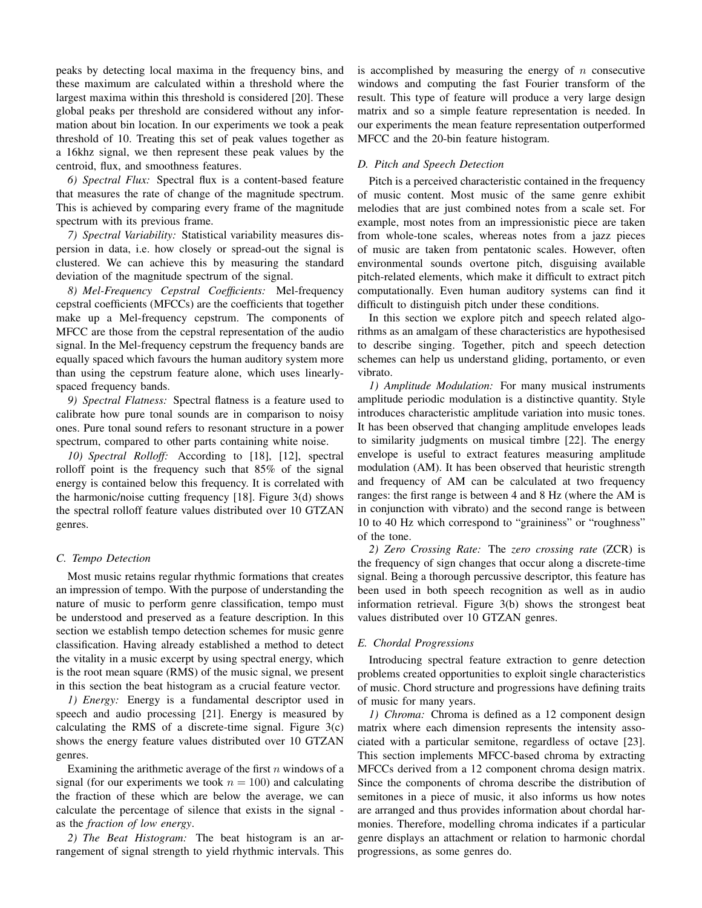peaks by detecting local maxima in the frequency bins, and these maximum are calculated within a threshold where the largest maxima within this threshold is considered [20]. These global peaks per threshold are considered without any information about bin location. In our experiments we took a peak threshold of 10. Treating this set of peak values together as a 16khz signal, we then represent these peak values by the centroid, flux, and smoothness features.

*6) Spectral Flux:* Spectral flux is a content-based feature that measures the rate of change of the magnitude spectrum. This is achieved by comparing every frame of the magnitude spectrum with its previous frame.

*7) Spectral Variability:* Statistical variability measures dispersion in data, i.e. how closely or spread-out the signal is clustered. We can achieve this by measuring the standard deviation of the magnitude spectrum of the signal.

*8) Mel-Frequency Cepstral Coefficients:* Mel-frequency cepstral coefficients (MFCCs) are the coefficients that together make up a Mel-frequency cepstrum. The components of MFCC are those from the cepstral representation of the audio signal. In the Mel-frequency cepstrum the frequency bands are equally spaced which favours the human auditory system more than using the cepstrum feature alone, which uses linearlyspaced frequency bands.

*9) Spectral Flatness:* Spectral flatness is a feature used to calibrate how pure tonal sounds are in comparison to noisy ones. Pure tonal sound refers to resonant structure in a power spectrum, compared to other parts containing white noise.

*10) Spectral Rolloff:* According to [18], [12], spectral rolloff point is the frequency such that 85% of the signal energy is contained below this frequency. It is correlated with the harmonic/noise cutting frequency [18]. Figure 3(d) shows the spectral rolloff feature values distributed over 10 GTZAN genres.

### *C. Tempo Detection*

Most music retains regular rhythmic formations that creates an impression of tempo. With the purpose of understanding the nature of music to perform genre classification, tempo must be understood and preserved as a feature description. In this section we establish tempo detection schemes for music genre classification. Having already established a method to detect the vitality in a music excerpt by using spectral energy, which is the root mean square (RMS) of the music signal, we present in this section the beat histogram as a crucial feature vector.

*1) Energy:* Energy is a fundamental descriptor used in speech and audio processing [21]. Energy is measured by calculating the RMS of a discrete-time signal. Figure  $3(c)$ shows the energy feature values distributed over 10 GTZAN genres.

Examining the arithmetic average of the first *n* windows of a signal (for our experiments we took  $n = 100$ ) and calculating the fraction of these which are below the average, we can calculate the percentage of silence that exists in the signal as the *fraction of low energy*.

*2) The Beat Histogram:* The beat histogram is an arrangement of signal strength to yield rhythmic intervals. This is accomplished by measuring the energy of *n* consecutive windows and computing the fast Fourier transform of the result. This type of feature will produce a very large design matrix and so a simple feature representation is needed. In our experiments the mean feature representation outperformed MFCC and the 20-bin feature histogram.

# *D. Pitch and Speech Detection*

Pitch is a perceived characteristic contained in the frequency of music content. Most music of the same genre exhibit melodies that are just combined notes from a scale set. For example, most notes from an impressionistic piece are taken from whole-tone scales, whereas notes from a jazz pieces of music are taken from pentatonic scales. However, often environmental sounds overtone pitch, disguising available pitch-related elements, which make it difficult to extract pitch computationally. Even human auditory systems can find it difficult to distinguish pitch under these conditions.

In this section we explore pitch and speech related algorithms as an amalgam of these characteristics are hypothesised to describe singing. Together, pitch and speech detection schemes can help us understand gliding, portamento, or even vibrato.

*1) Amplitude Modulation:* For many musical instruments amplitude periodic modulation is a distinctive quantity. Style introduces characteristic amplitude variation into music tones. It has been observed that changing amplitude envelopes leads to similarity judgments on musical timbre [22]. The energy envelope is useful to extract features measuring amplitude modulation (AM). It has been observed that heuristic strength and frequency of AM can be calculated at two frequency ranges: the first range is between 4 and 8 Hz (where the AM is in conjunction with vibrato) and the second range is between 10 to 40 Hz which correspond to "graininess" or "roughness" of the tone.

*2) Zero Crossing Rate:* The *zero crossing rate* (ZCR) is the frequency of sign changes that occur along a discrete-time signal. Being a thorough percussive descriptor, this feature has been used in both speech recognition as well as in audio information retrieval. Figure 3(b) shows the strongest beat values distributed over 10 GTZAN genres.

#### *E. Chordal Progressions*

Introducing spectral feature extraction to genre detection problems created opportunities to exploit single characteristics of music. Chord structure and progressions have defining traits of music for many years.

*1) Chroma:* Chroma is defined as a 12 component design matrix where each dimension represents the intensity associated with a particular semitone, regardless of octave [23]. This section implements MFCC-based chroma by extracting MFCCs derived from a 12 component chroma design matrix. Since the components of chroma describe the distribution of semitones in a piece of music, it also informs us how notes are arranged and thus provides information about chordal harmonies. Therefore, modelling chroma indicates if a particular genre displays an attachment or relation to harmonic chordal progressions, as some genres do.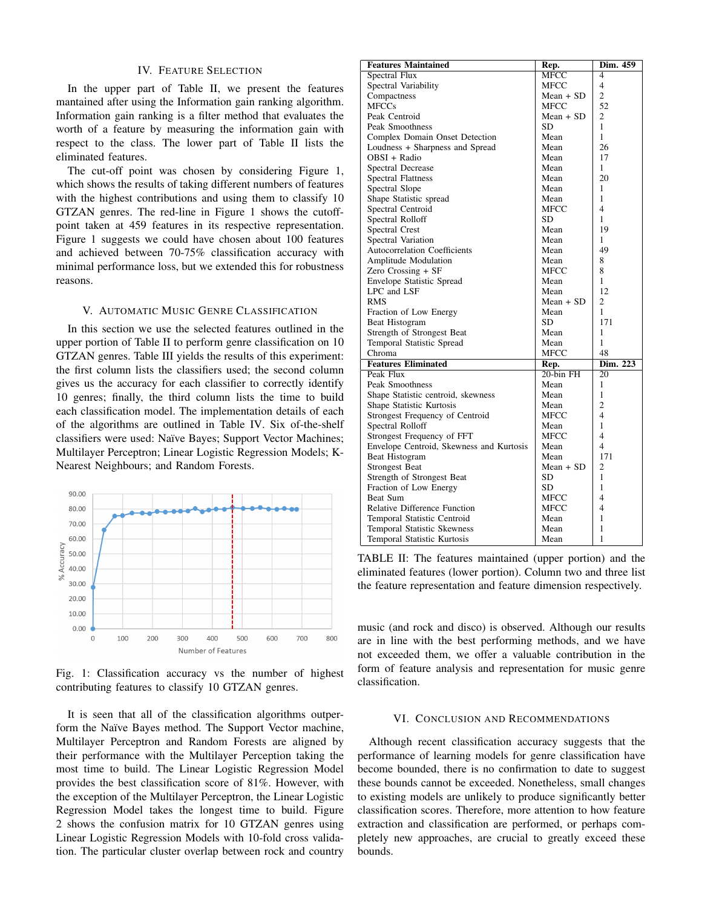# IV. FEATURE SELECTION

In the upper part of Table II, we present the features mantained after using the Information gain ranking algorithm. Information gain ranking is a filter method that evaluates the worth of a feature by measuring the information gain with respect to the class. The lower part of Table II lists the eliminated features.

The cut-off point was chosen by considering Figure 1, which shows the results of taking different numbers of features with the highest contributions and using them to classify 10 GTZAN genres. The red-line in Figure 1 shows the cutoffpoint taken at 459 features in its respective representation. Figure 1 suggests we could have chosen about 100 features and achieved between 70-75% classification accuracy with minimal performance loss, but we extended this for robustness reasons.

#### V. AUTOMATIC MUSIC GENRE CLASSIFICATION

In this section we use the selected features outlined in the upper portion of Table II to perform genre classification on 10 GTZAN genres. Table III yields the results of this experiment: the first column lists the classifiers used; the second column gives us the accuracy for each classifier to correctly identify 10 genres; finally, the third column lists the time to build each classification model. The implementation details of each of the algorithms are outlined in Table IV. Six of-the-shelf classifiers were used: Naïve Bayes; Support Vector Machines; Multilayer Perceptron; Linear Logistic Regression Models; K-Nearest Neighbours; and Random Forests.



Fig. 1: Classification accuracy vs the number of highest contributing features to classify 10 GTZAN genres.

It is seen that all of the classification algorithms outperform the Naïve Bayes method. The Support Vector machine, Multilayer Perceptron and Random Forests are aligned by their performance with the Multilayer Perception taking the most time to build. The Linear Logistic Regression Model provides the best classification score of 81%. However, with the exception of the Multilayer Perceptron, the Linear Logistic Regression Model takes the longest time to build. Figure 2 shows the confusion matrix for 10 GTZAN genres using Linear Logistic Regression Models with 10-fold cross validation. The particular cluster overlap between rock and country

| <b>Features Maintained</b>               | Rep.         | Dim. 459                 |
|------------------------------------------|--------------|--------------------------|
| Spectral Flux                            | MFCC         | 4                        |
| Spectral Variability                     | MFCC         | $\overline{\mathbf{4}}$  |
| Compactness                              | $Mean + SD$  | $\overline{c}$           |
| <b>MFCCs</b>                             | MFCC         | 52                       |
| Peak Centroid                            | $Mean + SD$  | 2                        |
| Peak Smoothness                          | SD           | 1                        |
| Complex Domain Onset Detection           | Mean         | 1                        |
| Loudness + Sharpness and Spread          | Mean         | 26                       |
| OBSI + Radio                             | Mean         | 17                       |
| Spectral Decrease                        | Mean         | 1                        |
| <b>Spectral Flattness</b>                | Mean         | 20                       |
| Spectral Slope                           | Mean         | 1                        |
| Shape Statistic spread                   | Mean         | 1                        |
| Spectral Centroid                        | MFCC         | $\overline{\mathcal{L}}$ |
| Spectral Rolloff                         | SD           | 1                        |
| Spectral Crest                           | Mean         | 19                       |
| Spectral Variation                       | Mean         | 1                        |
| <b>Autocorrelation Coefficients</b>      | Mean         | 49                       |
| <b>Amplitude Modulation</b>              | Mean         | 8                        |
| Zero Crossing + SF                       | <b>MFCC</b>  | 8                        |
| <b>Envelope Statistic Spread</b>         | Mean         | 1                        |
| LPC and LSF                              | Mean         | 12                       |
| <b>RMS</b>                               | $Mean + SD$  | $\overline{c}$           |
| Fraction of Low Energy                   | Mean         | 1                        |
| Beat Histogram                           | SD           | 171                      |
| Strength of Strongest Beat               | Mean         | 1                        |
| Temporal Statistic Spread                | Mean         | 1                        |
| Chroma                                   | MFCC         | 48                       |
| <b>Features Eliminated</b>               | Rep.         | Dim. 223                 |
| Peak Flux                                | $20$ -bin FH | 20                       |
| Peak Smoothness                          | Mean         | 1                        |
| Shape Statistic centroid, skewness       | Mean         | $\mathbf{1}$             |
| Shape Statistic Kurtosis                 | Mean         | $\overline{c}$           |
| Strongest Frequency of Centroid          | MFCC         | 4                        |
| Spectral Rolloff                         | Mean         | 1                        |
| Strongest Frequency of FFT               | MFCC         | 4                        |
| Envelope Centroid, Skewness and Kurtosis | Mean         | $\overline{4}$           |
| Beat Histogram                           | Mean         | 171                      |
| <b>Strongest Beat</b>                    | $Mean + SD$  | 2                        |
| Strength of Strongest Beat               | SD           | 1                        |
| Fraction of Low Energy                   | SD           | 1                        |
| Beat Sum                                 | MFCC         | 4                        |
| Relative Difference Function             | MFCC         | $\overline{4}$           |
| Temporal Statistic Centroid              | Mean         | 1                        |
| <b>Temporal Statistic Skewness</b>       | Mean         | 1                        |
| Temporal Statistic Kurtosis              | Mean         | 1                        |

TABLE II: The features maintained (upper portion) and the eliminated features (lower portion). Column two and three list the feature representation and feature dimension respectively.

music (and rock and disco) is observed. Although our results are in line with the best performing methods, and we have not exceeded them, we offer a valuable contribution in the form of feature analysis and representation for music genre classification.

#### VI. CONCLUSION AND RECOMMENDATIONS

Although recent classification accuracy suggests that the performance of learning models for genre classification have become bounded, there is no confirmation to date to suggest these bounds cannot be exceeded. Nonetheless, small changes to existing models are unlikely to produce significantly better classification scores. Therefore, more attention to how feature extraction and classification are performed, or perhaps completely new approaches, are crucial to greatly exceed these bounds.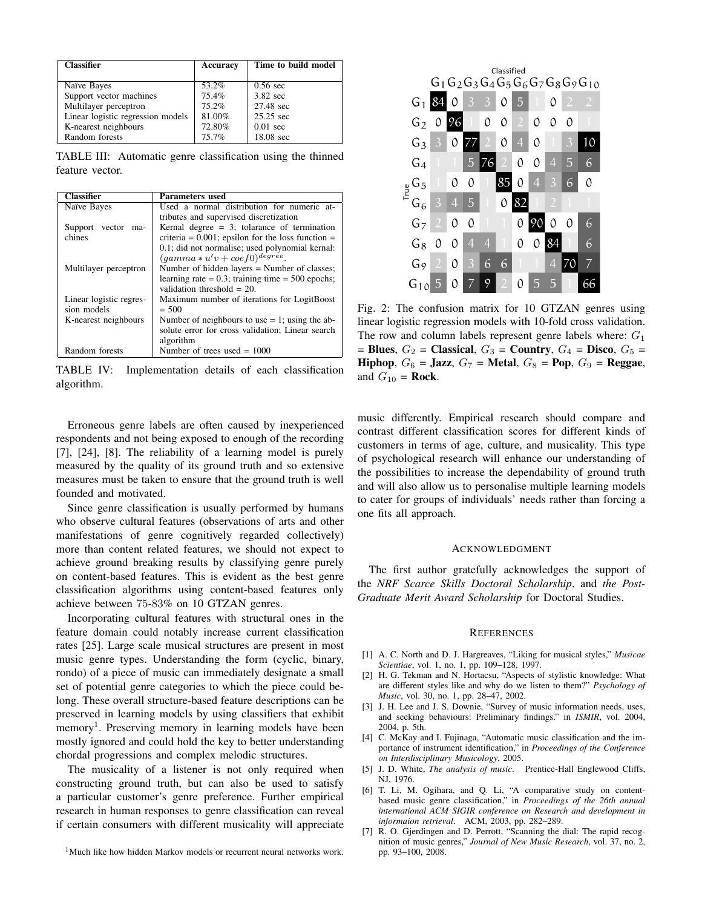| <b>Classifier</b>                 | Accuracy | Time to build model |
|-----------------------------------|----------|---------------------|
|                                   |          |                     |
| Naïve Bayes                       | 53.2%    | $0.56 \text{ sec}$  |
| Support vector machines           | 75.4%    | 3.82 sec            |
| Multilayer perceptron             | 75.2%    | 27.48 sec           |
| Linear logistic regression models | 81.00%   | 25.25 sec           |
| K-nearest neighbours              | 72.80%   | $0.01 \text{ sec}$  |
| Random forests                    | 75.7%    | 18.08 sec           |

TABLE III: Automatic genre classification using the thinned feature vector.

| <b>Classifier</b>        | <b>Parameters</b> used                                |
|--------------------------|-------------------------------------------------------|
| Naïve Bayes              | Used a normal distribution for numeric at-            |
|                          | tributes and supervised discretization                |
| vector<br>Support<br>ma- | Kernal degree $= 3$ ; tolarance of termination        |
| chines                   | criteria = $0.001$ ; epsilon for the loss function =  |
|                          | 0.1; did not normalise; used polynomial kernal:       |
|                          | $(gamma * u'v + coef0)^{\text{degree}}.$              |
| Multilayer perceptron    | Number of hidden layers $=$ Number of classes;        |
|                          | learning rate $= 0.3$ ; training time $= 500$ epochs; |
|                          | validation threshold $= 20$ .                         |
| Linear logistic regres-  | Maximum number of iterations for LogitBoost           |
| sion models              | $= 500$                                               |
| K-nearest neighbours     | Number of neighbours to use $= 1$ ; using the ab-     |
|                          | solute error for cross validation; Linear search      |
|                          | algorithm                                             |
| Random forests           | Number of trees used $= 1000$                         |

TABLE IV: Implementation details of each classification algorithm.

Erroneous genre labels are often caused by inexperienced respondents and not being exposed to enough of the recording [7], [24], [8]. The reliability of a learning model is purely measured by the quality of its ground truth and so extensive measures must be taken to ensure that the ground truth is well founded and motivated.

Since genre classification is usually performed by humans who observe cultural features (observations of arts and other manifestations of genre cognitively regarded collectively) more than content related features, we should not expect to achieve ground breaking results by classifying genre purely on content-based features. This is evident as the best genre classification algorithms using content-based features only achieve between 75-83% on 10 GTZAN genres.

Incorporating cultural features with structural ones in the feature domain could notably increase current classification rates [25]. Large scale musical structures are present in most music genre types. Understanding the form (cyclic, binary, rondo) of a piece of music can immediately designate a small set of potential genre categories to which the piece could belong. These overall structure-based feature descriptions can be preserved in learning models by using classifiers that exhibit memory<sup>1</sup>. Preserving memory in learning models have been mostly ignored and could hold the key to better understanding chordal progressions and complex melodic structures.

The musicality of a listener is not only required when constructing ground truth, but can also be used to satisfy a particular customer's genre preference. Further empirical research in human responses to genre classification can reveal if certain consumers with different musicality will appreciate

<sup>1</sup>Much like how hidden Markov models or recurrent neural networks work.



Fig. 2: The confusion matrix for 10 GTZAN genres using linear logistic regression models with 10-fold cross validation. The row and column labels represent genre labels where: *G*<sup>1</sup>  $=$  Blues,  $G_2$  = Classical,  $G_3$  = Country,  $G_4$  = Disco,  $G_5$  = Hiphop,  $G_6$  = Jazz,  $G_7$  = Metal,  $G_8$  = Pop,  $G_9$  = Reggae, and  $G_{10}$  = **Rock**.

music differently. Empirical research should compare and contrast different classification scores for different kinds of customers in terms of age, culture, and musicality. This type of psychological research will enhance our understanding of the possibilities to increase the dependability of ground truth and will also allow us to personalise multiple learning models to cater for groups of individuals' needs rather than forcing a one fits all approach.

## ACKNOWLEDGMENT

The first author gratefully acknowledges the support of the *NRF Scarce Skills Doctoral Scholarship*, and *the Post-Graduate Merit Award Scholarship* for Doctoral Studies.

#### **REFERENCES**

- [1] A. C. North and D. J. Hargreaves, "Liking for musical styles," *Musicae Scientiae*, vol. 1, no. 1, pp. 109–128, 1997.
- [2] H. G. Tekman and N. Hortacsu, "Aspects of stylistic knowledge: What are different styles like and why do we listen to them?" *Psychology of Music*, vol. 30, no. 1, pp. 28–47, 2002.
- [3] J. H. Lee and J. S. Downie, "Survey of music information needs, uses, and seeking behaviours: Preliminary findings." in *ISMIR*, vol. 2004, 2004, p. 5th.
- [4] C. McKay and I. Fujinaga, "Automatic music classification and the importance of instrument identification," in *Proceedings of the Conference on Interdisciplinary Musicology*, 2005.
- [5] J. D. White, *The analysis of music*. Prentice-Hall Englewood Cliffs, NJ, 1976.
- [6] T. Li, M. Ogihara, and Q. Li, "A comparative study on contentbased music genre classification," in *Proceedings of the 26th annual international ACM SIGIR conference on Research and development in informaion retrieval*. ACM, 2003, pp. 282–289.
- [7] R. O. Gjerdingen and D. Perrott, "Scanning the dial: The rapid recognition of music genres," *Journal of New Music Research*, vol. 37, no. 2, pp. 93–100, 2008.